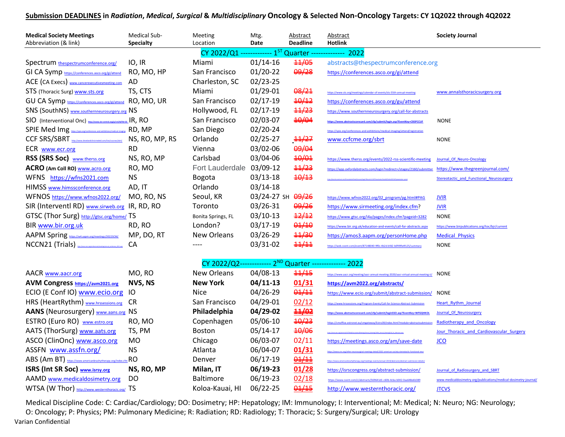## Submission DEADLINES in Radiation, Medical, Surgical & Multidisciplinary Oncology & Selected Non-Oncology Targets: CY 1Q2022 through 4Q2022

| <b>Medical Society Meetings</b><br>Abbreviation (& link)                                                                                                                                                       | Medical Sub-<br><b>Specialty</b>  | Meeting<br>Location                              | Mtg.<br>Date                               | Abstract<br><b>Deadline</b>                 | Abstract<br><b>Hotlink</b>                                                                                                                                                                                             | <b>Society Journal</b>                                                                                               |  |  |  |  |
|----------------------------------------------------------------------------------------------------------------------------------------------------------------------------------------------------------------|-----------------------------------|--------------------------------------------------|--------------------------------------------|---------------------------------------------|------------------------------------------------------------------------------------------------------------------------------------------------------------------------------------------------------------------------|----------------------------------------------------------------------------------------------------------------------|--|--|--|--|
| CY 2022/Q1 ------------- 1ST Quarter ----<br>-------- 2022                                                                                                                                                     |                                   |                                                  |                                            |                                             |                                                                                                                                                                                                                        |                                                                                                                      |  |  |  |  |
| Spectrum thespectrumconference.org/<br>GI CA Symp https://conferences.asco.org/gi/attend                                                                                                                       | IO, IR<br>RO, MO, HP              | Miami<br>San Francisco                           | $01/14-16$<br>$01/20-22$                   | $\frac{11}{95}$<br>09/28                    | abstracts@thespectrumconference.org<br>https://conferences.asco.org/gi/attend                                                                                                                                          |                                                                                                                      |  |  |  |  |
| ACE (CA Execs) www.cancerexecutivesmeeting.com<br>STS (Thoracic Surg) www.sts.org<br>GU CA Symp https://conferences.asco.org/gi/attend RO, MO, UR                                                              | AD<br>TS, CTS                     | Charleston, SC<br>Miami<br>San Francisco         | $02/23 - 25$<br>$01/29 - 01$<br>$02/17-19$ | 08/21<br>40/12                              | https://www.sts.org/meetings/calendar-of-events/sts-55th-annual-<br>https://conferences.asco.org/gu/attend                                                                                                             | www.annalsthoracicsurgery.org                                                                                        |  |  |  |  |
| SNS (SouthNS) www.southernneurosurgery.org NS<br>SIO (Interventional Onc) http://www.slo.contral.org/p/cm/ld/fld=32 IR, RO<br>SPIE Med Img https://spie.org/conferences-and-exhibitions/medical-imaging RD, MP |                                   | Hollywood, FL<br>San Francisco<br>San Diego      | $02/17-19$<br>02/03-07<br>$02/20-24$       | $\frac{44}{23}$<br>40/04                    | https://www.southernneurosurgery.org/call-for-abstracts<br>ttps://www.abstractscorecard.com/cfp/submit/login.asp?EventKey=CBSPCCUF<br>https://spie.org/conferences-and-exhibitions/medical-imaging/attend/registration | <b>NONE</b>                                                                                                          |  |  |  |  |
| CCF SRS/SBRT http://www.develandchiccronded.com/live/courses/sbzt/ NS, RO, MP, RS<br>ECR www.ecr.org                                                                                                           | <b>RD</b>                         | Orlando<br>Vienna                                | $02/25 - 27$<br>03/02-06                   | 44/27<br>09/04                              | www.ccfcme.org/sbrt                                                                                                                                                                                                    | <b>NONE</b>                                                                                                          |  |  |  |  |
| RSS (SRS Soc) www.therss.org<br>ACRO (Am Coll RO) <b>WWW.acro.org</b><br>WFNS https://wfns2021.com                                                                                                             | NS, RO, MP<br>RO, MO<br><b>NS</b> | Carlsbad<br>Fort Lauderdale 03/09-12<br>Bogota   | 03/04-06<br>$03/13-18$                     | 40/01<br>$\frac{44}{23}$<br>40/13           | https://www.therss.org/events/2022-rss-scientific-meeting<br>https://app.oxfordabstracts.com/login?redirect=/stages/2160/submitte                                                                                      | Journal Of Neuro-Oncology<br>https://www.thegreenjournal.com/<br>Stereotactic and Functional Neurosurgery            |  |  |  |  |
| HIMSS www.himssconference.org<br>WFNOS https://www.wfnos2022.org/<br>SIR (Interventl RD) www.sirweb.org IR, RD, RO                                                                                             | AD, IT<br>MO, RO, NS              | Orlando<br>Seoul, KR<br>Toronto                  | $03/14-18$<br>03/24-27 SH<br>03/26-31      | 09/26<br>09/26                              | https://www.wfnos2022.org/02 program/pg.html#PAG<br>https://www.sirmeeting.org/index.cfm?                                                                                                                              | <b>JVIR</b><br><b>JVIR</b>                                                                                           |  |  |  |  |
| GTSC (Thor Surg) http://gtsc.org/home/ TS<br>BIR www.bir.org.uk<br>AAPM Spring https://w4.aapm.org/meetings/2022SCM/                                                                                           | RD, RO<br>MP, DO, RT              | Bonita Springs, FL<br>London?<br>New Orleans     | $03/10-13$<br>$03/17-19$<br>03/26-29       | $\frac{12}{12}$<br>0.1/10<br>44/30<br>11/11 | https://www.gtsc.org/i4a/pages/index.cfm?pageid=3282<br>https://www.bir.org.uk/education-and-events/call-for-abstracts.aspx<br>https://amos3.aapm.org/personHome.php                                                   | <b>NONE</b><br>https://www.birpublications.org/toc/bjr/current<br><b>Medical Physics</b>                             |  |  |  |  |
| NCCN21 (Trials)<br>CA<br>03/31-02<br><b>NONE</b><br>----<br>https://web.cvent.com/event/87148040-9f0c-4b2d-bfd2-b0f49fe4fc25/summary<br>CY 2022/Q2------------- 2 <sup>ND</sup> Quarter -------------- 2022    |                                   |                                                  |                                            |                                             |                                                                                                                                                                                                                        |                                                                                                                      |  |  |  |  |
| <b>AACR</b> www.aacr.org<br>AVM Congress https://avm2021.org                                                                                                                                                   | MO, RO<br>NVS, NS                 | <b>New Orleans</b><br><b>New York</b>            | 04/08-13<br>$04/11-13$                     | $\frac{44}{45}$<br>01/31                    | https://www.aacr.org/meeting/aacr-annual-meeting-2020/aacr-virtual-annual-meeting-ii/<br>https://avm2022.org/abstracts/                                                                                                | <b>NONE</b>                                                                                                          |  |  |  |  |
| ECIO (E Conf IO) www.ecio.org<br>HRS (HeartRythm) www.hrssessions.org                                                                                                                                          | IO<br><b>CR</b>                   | <b>Nice</b><br>San Francisco                     | 04/26-29<br>04/29-01                       | 01/11<br>02/12                              | https://www.ecio.org/submit/abstract-submission/<br>https://www.hrssessions.org/Program-Events/Call-for-Science-Abstract-Submission                                                                                    | <b>NONE</b><br><b>Heart Rythm Journal</b>                                                                            |  |  |  |  |
| AANS (Neurosurgery) www.aans.org NS<br>ESTRO (Euro RO) www.estro.org                                                                                                                                           | RO, MO                            | Philadelphia<br>Copenhagen                       | 04/29-02<br>05/06-10                       | 11/02<br>40/23                              | https://www.abstractscorecard.com/cfp/submit/loginSSO.asp?EventKey=WFGQHKOL<br>https://cmoffice.estronet.eu/cmgateway/Estro39/index.html?module=abstractsul                                                            | Journal Of Neurosurgery<br>Radiotherapy and Oncology                                                                 |  |  |  |  |
| AATS (ThorSurg) www.aats.org<br>ASCO (ClinOnc) www.asco.org                                                                                                                                                    | TS, PM<br><b>MO</b>               | <b>Boston</b><br>Chicago                         | $05/14-17$<br>06/03-07                     | 40/06<br>02/11                              | https://meetings.asco.org/am/save-date                                                                                                                                                                                 | Jour Thoracic and Cardiovascular Surgery<br><b>JCO</b>                                                               |  |  |  |  |
| ASSFN www.assfn.org/<br>ABS (Am BT) https://www.americanbrachytherapy.org/index.cfm RO                                                                                                                         | <b>NS</b>                         | Atlanta<br>Denver                                | 06/04-07<br>06/17-19                       | 01/31<br>01/11                              | n abrachatharanu om (meetingrummtr (angual: 2019 (abr                                                                                                                                                                  |                                                                                                                      |  |  |  |  |
| <b>ISRS (Int SR Soc)</b> www.isrsy.org<br>AAMD www.medicaldosimetry.org<br>WTSA (W Thor) http://www.westernthoracic.org/ TS                                                                                    | NS, RO, MP<br>DO                  | Milan, IT<br><b>Baltimore</b><br>Koloa-Kauai, HI | 06/19-23<br>06/19-23<br>06/22-25           | 01/28<br>02/18<br>01/15                     | https://isrscongress.org/abstract-submission/<br>https://www.cvent.com/c/abstracts/569641d1-c60b-4cba-b042-0aa648e6b389<br>http://www.westernthoracic.org/                                                             | Journal of Radiosurgery and SBRT<br>www.medicaldosimetry.org/publications/medical-dosimetry-journal/<br><b>JTCVS</b> |  |  |  |  |

Medical Discipline Code: C: Cardiac/Cardiology; DO: Dosimetry; HP: Hepatology; IM: Immunology; I: Interventional; M: Medical; N: Neuro; NG: Neurology; O: Oncology; P: Physics; PM: Pulmonary Medicine; R: Radiation; RD: Radiology; T: Thoracic; S: Surgery/Surgical; UR: Urology Varian Confidential